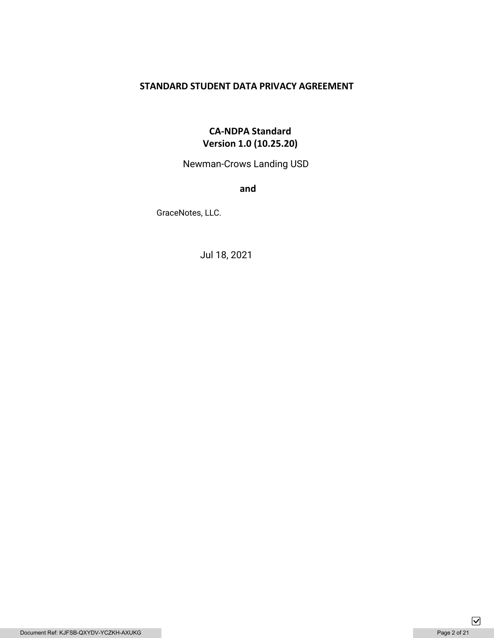## **STANDARD STUDENT DATA PRIVACY AGREEMENT**

## **CA-NDPA Standard Version 1.0 (10.25.20)**

Newman-Crows Landing USD

**and** 

GraceNotes, LLC.

Jul 18, 2021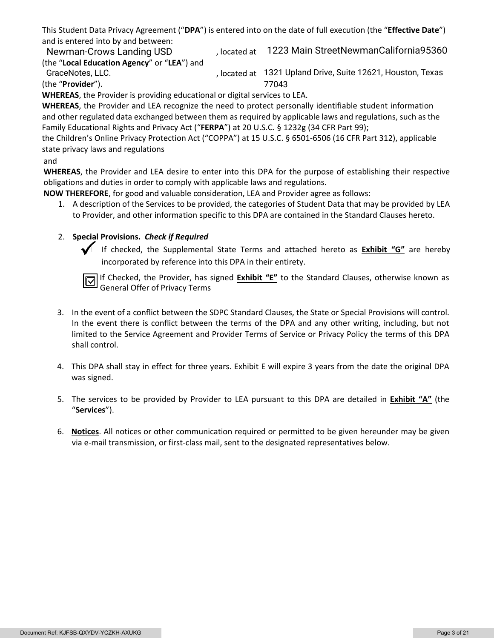This Student Data Privacy Agreement ("**DPA**") is entered into on the date of full execution (the "**Effective Date**") and is entered into by and between:

Newman-Crows Landing USD (Incated at 1223 Main StreetNewmanCalifornia95360 (the "**Local Education Agency**" or "**LEA**") and

, located at 1321 Upland Drive, Suite 12621, Houston, Texas (the "**Provider**"). 77043 GraceNotes, LLC.

**WHEREAS**, the Provider is providing educational or digital services to LEA.

**WHEREAS**, the Provider and LEA recognize the need to protect personally identifiable student information and other regulated data exchanged between them as required by applicable laws and regulations, such as the Family Educational Rights and Privacy Act ("**FERPA**") at 20 U.S.C. § 1232g (34 CFR Part 99);

the Children's Online Privacy Protection Act ("COPPA") at 15 U.S.C. § 6501-6506 (16 CFR Part 312), applicable state privacy laws and regulations

## and

**WHEREAS**, the Provider and LEA desire to enter into this DPA for the purpose of establishing their respective obligations and duties in order to comply with applicable laws and regulations.

**NOW THEREFORE**, for good and valuable consideration, LEA and Provider agree as follows:

1. A description of the Services to be provided, the categories of Student Data that may be provided by LEA to Provider, and other information specific to this DPA are contained in the Standard Clauses hereto.

## 2. **Special Provisions.** *Check if Required*

 If checked, the Supplemental State Terms and attached hereto as **Exhibit "G"** are hereby incorporated by reference into this DPA in their entirety.

If Checked, the Provider, has signed **Exhibit "E"** to the Standard Clauses, otherwise known as General Offer of Privacy Terms

- 3. In the event of a conflict between the SDPC Standard Clauses, the State or Special Provisions will control. In the event there is conflict between the terms of the DPA and any other writing, including, but not limited to the Service Agreement and Provider Terms of Service or Privacy Policy the terms of this DPA shall control.
- 4. This DPA shall stay in effect for three years. Exhibit E will expire 3 years from the date the original DPA was signed.
- 5. The services to be provided by Provider to LEA pursuant to this DPA are detailed in **Exhibit "A"** (the "**Services**").
- 6. **Notices**. All notices or other communication required or permitted to be given hereunder may be given via e-mail transmission, or first-class mail, sent to the designated representatives below.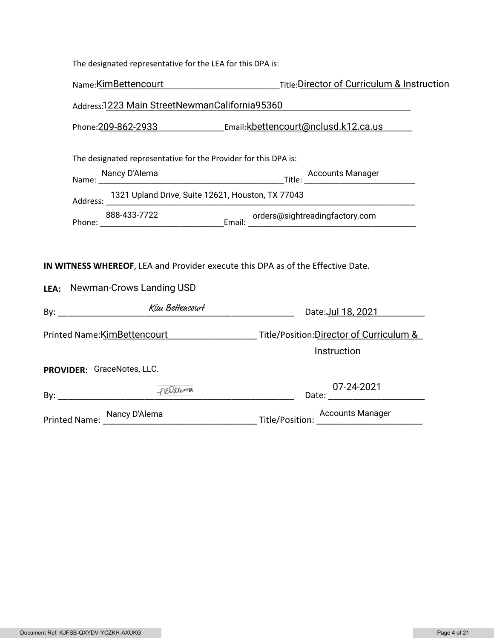| The designated representative for the LEA for this DPA is: |  |
|------------------------------------------------------------|--|
|------------------------------------------------------------|--|

|                                                                                 |                                                                 | Name:KimBettencourt Title:Director of Curriculum & Instruction |  |  |
|---------------------------------------------------------------------------------|-----------------------------------------------------------------|----------------------------------------------------------------|--|--|
|                                                                                 | Address:1223 Main StreetNewmanCalifornia95360                   |                                                                |  |  |
|                                                                                 |                                                                 | Phone:209-862-2933 Email:kbettencourt@nclusd.k12.ca.us         |  |  |
|                                                                                 | The designated representative for the Provider for this DPA is: |                                                                |  |  |
|                                                                                 |                                                                 |                                                                |  |  |
|                                                                                 | Address: 1321 Upland Drive, Suite 12621, Houston, TX 77043      |                                                                |  |  |
|                                                                                 |                                                                 |                                                                |  |  |
|                                                                                 |                                                                 |                                                                |  |  |
| IN WITNESS WHEREOF, LEA and Provider execute this DPA as of the Effective Date. |                                                                 |                                                                |  |  |
|                                                                                 | LEA: Newman-Crows Landing USD                                   |                                                                |  |  |
|                                                                                 |                                                                 |                                                                |  |  |
| Printed Name:KimBettencourt Times Title/Position:Director of Curriculum &       |                                                                 |                                                                |  |  |
|                                                                                 |                                                                 | Instruction                                                    |  |  |
|                                                                                 | PROVIDER: GraceNotes, LLC.                                      |                                                                |  |  |
|                                                                                 | By: nellema                                                     |                                                                |  |  |
|                                                                                 | Printed Name: Nancy D'Alema                                     |                                                                |  |  |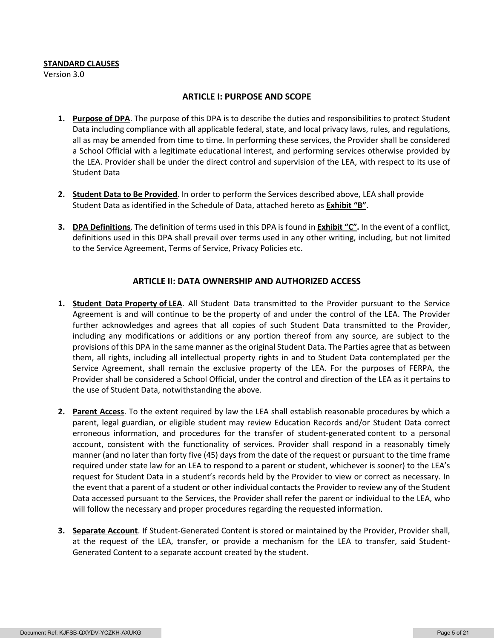#### **STANDARD CLAUSES**

Version 3.0

#### **ARTICLE I: PURPOSE AND SCOPE**

- **1. Purpose of DPA**. The purpose of this DPA is to describe the duties and responsibilities to protect Student Data including compliance with all applicable federal, state, and local privacy laws, rules, and regulations, all as may be amended from time to time. In performing these services, the Provider shall be considered a School Official with a legitimate educational interest, and performing services otherwise provided by the LEA. Provider shall be under the direct control and supervision of the LEA, with respect to its use of Student Data
- **2. Student Data to Be Provided**. In order to perform the Services described above, LEA shall provide Student Data as identified in the Schedule of Data, attached hereto as **Exhibit "B"**.
- **3. DPA Definitions**. The definition of terms used in this DPA is found in **Exhibit "C".** In the event of a conflict, definitions used in this DPA shall prevail over terms used in any other writing, including, but not limited to the Service Agreement, Terms of Service, Privacy Policies etc.

### **ARTICLE II: DATA OWNERSHIP AND AUTHORIZED ACCESS**

- **1. Student Data Property of LEA**. All Student Data transmitted to the Provider pursuant to the Service Agreement is and will continue to be the property of and under the control of the LEA. The Provider further acknowledges and agrees that all copies of such Student Data transmitted to the Provider, including any modifications or additions or any portion thereof from any source, are subject to the provisions of this DPA in the same manner as the original Student Data. The Parties agree that as between them, all rights, including all intellectual property rights in and to Student Data contemplated per the Service Agreement, shall remain the exclusive property of the LEA. For the purposes of FERPA, the Provider shall be considered a School Official, under the control and direction of the LEA as it pertains to the use of Student Data, notwithstanding the above.
- **2. Parent Access**. To the extent required by law the LEA shall establish reasonable procedures by which a parent, legal guardian, or eligible student may review Education Records and/or Student Data correct erroneous information, and procedures for the transfer of student-generated content to a personal account, consistent with the functionality of services. Provider shall respond in a reasonably timely manner (and no later than forty five (45) days from the date of the request or pursuant to the time frame required under state law for an LEA to respond to a parent or student, whichever is sooner) to the LEA's request for Student Data in a student's records held by the Provider to view or correct as necessary. In the event that a parent of a student or other individual contacts the Provider to review any of the Student Data accessed pursuant to the Services, the Provider shall refer the parent or individual to the LEA, who will follow the necessary and proper procedures regarding the requested information.
- **3. Separate Account**. If Student-Generated Content is stored or maintained by the Provider, Provider shall, at the request of the LEA, transfer, or provide a mechanism for the LEA to transfer, said Student-Generated Content to a separate account created by the student.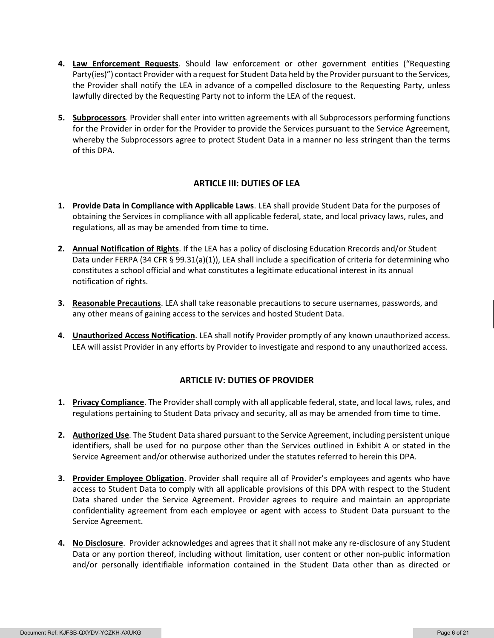- **4. Law Enforcement Requests**. Should law enforcement or other government entities ("Requesting Party(ies)") contact Provider with a request for Student Data held by the Provider pursuant to the Services, the Provider shall notify the LEA in advance of a compelled disclosure to the Requesting Party, unless lawfully directed by the Requesting Party not to inform the LEA of the request.
- **5. Subprocessors**. Provider shall enter into written agreements with all Subprocessors performing functions for the Provider in order for the Provider to provide the Services pursuant to the Service Agreement, whereby the Subprocessors agree to protect Student Data in a manner no less stringent than the terms of this DPA.

## **ARTICLE III: DUTIES OF LEA**

- **1. Provide Data in Compliance with Applicable Laws**. LEA shall provide Student Data for the purposes of obtaining the Services in compliance with all applicable federal, state, and local privacy laws, rules, and regulations, all as may be amended from time to time.
- **2. Annual Notification of Rights**. If the LEA has a policy of disclosing Education Rrecords and/or Student Data under FERPA (34 CFR § 99.31(a)(1)), LEA shall include a specification of criteria for determining who constitutes a school official and what constitutes a legitimate educational interest in its annual notification of rights.
- **3. Reasonable Precautions**. LEA shall take reasonable precautions to secure usernames, passwords, and any other means of gaining access to the services and hosted Student Data.
- **4. Unauthorized Access Notification**. LEA shall notify Provider promptly of any known unauthorized access. LEA will assist Provider in any efforts by Provider to investigate and respond to any unauthorized access.

## **ARTICLE IV: DUTIES OF PROVIDER**

- **1. Privacy Compliance**. The Provider shall comply with all applicable federal, state, and local laws, rules, and regulations pertaining to Student Data privacy and security, all as may be amended from time to time.
- **2. Authorized Use**. The Student Data shared pursuant to the Service Agreement, including persistent unique identifiers, shall be used for no purpose other than the Services outlined in Exhibit A or stated in the Service Agreement and/or otherwise authorized under the statutes referred to herein this DPA.
- **3. Provider Employee Obligation**. Provider shall require all of Provider's employees and agents who have access to Student Data to comply with all applicable provisions of this DPA with respect to the Student Data shared under the Service Agreement. Provider agrees to require and maintain an appropriate confidentiality agreement from each employee or agent with access to Student Data pursuant to the Service Agreement.
- **4. No Disclosure**. Provider acknowledges and agrees that it shall not make any re-disclosure of any Student Data or any portion thereof, including without limitation, user content or other non-public information and/or personally identifiable information contained in the Student Data other than as directed or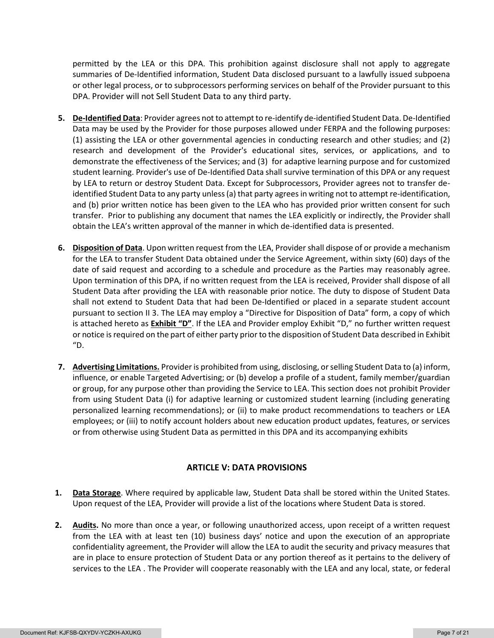permitted by the LEA or this DPA. This prohibition against disclosure shall not apply to aggregate summaries of De-Identified information, Student Data disclosed pursuant to a lawfully issued subpoena or other legal process, or to subprocessors performing services on behalf of the Provider pursuant to this DPA. Provider will not Sell Student Data to any third party.

- **5. De-Identified Data**: Provider agrees not to attempt to re-identify de-identified Student Data. De-Identified Data may be used by the Provider for those purposes allowed under FERPA and the following purposes: (1) assisting the LEA or other governmental agencies in conducting research and other studies; and (2) research and development of the Provider's educational sites, services, or applications, and to demonstrate the effectiveness of the Services; and (3) for adaptive learning purpose and for customized student learning. Provider's use of De-Identified Data shall survive termination of this DPA or any request by LEA to return or destroy Student Data. Except for Subprocessors, Provider agrees not to transfer deidentified Student Data to any party unless (a) that party agrees in writing not to attempt re-identification, and (b) prior written notice has been given to the LEA who has provided prior written consent for such transfer. Prior to publishing any document that names the LEA explicitly or indirectly, the Provider shall obtain the LEA's written approval of the manner in which de-identified data is presented.
- **6. Disposition of Data**. Upon written request from the LEA, Provider shall dispose of or provide a mechanism for the LEA to transfer Student Data obtained under the Service Agreement, within sixty (60) days of the date of said request and according to a schedule and procedure as the Parties may reasonably agree. Upon termination of this DPA, if no written request from the LEA is received, Provider shall dispose of all Student Data after providing the LEA with reasonable prior notice. The duty to dispose of Student Data shall not extend to Student Data that had been De-Identified or placed in a separate student account pursuant to section II 3. The LEA may employ a "Directive for Disposition of Data" form, a copy of which is attached hereto as **Exhibit "D"**. If the LEA and Provider employ Exhibit "D," no further written request or notice is required on the part of either party prior to the disposition of Student Data described in Exhibit "D.
- **7. Advertising Limitations.** Provider is prohibited from using, disclosing, or selling Student Data to (a) inform, influence, or enable Targeted Advertising; or (b) develop a profile of a student, family member/guardian or group, for any purpose other than providing the Service to LEA. This section does not prohibit Provider from using Student Data (i) for adaptive learning or customized student learning (including generating personalized learning recommendations); or (ii) to make product recommendations to teachers or LEA employees; or (iii) to notify account holders about new education product updates, features, or services or from otherwise using Student Data as permitted in this DPA and its accompanying exhibits

## **ARTICLE V: DATA PROVISIONS**

- **1. Data Storage**. Where required by applicable law, Student Data shall be stored within the United States. Upon request of the LEA, Provider will provide a list of the locations where Student Data is stored.
- **2. Audits.** No more than once a year, or following unauthorized access, upon receipt of a written request from the LEA with at least ten (10) business days' notice and upon the execution of an appropriate confidentiality agreement, the Provider will allow the LEA to audit the security and privacy measures that are in place to ensure protection of Student Data or any portion thereof as it pertains to the delivery of services to the LEA . The Provider will cooperate reasonably with the LEA and any local, state, or federal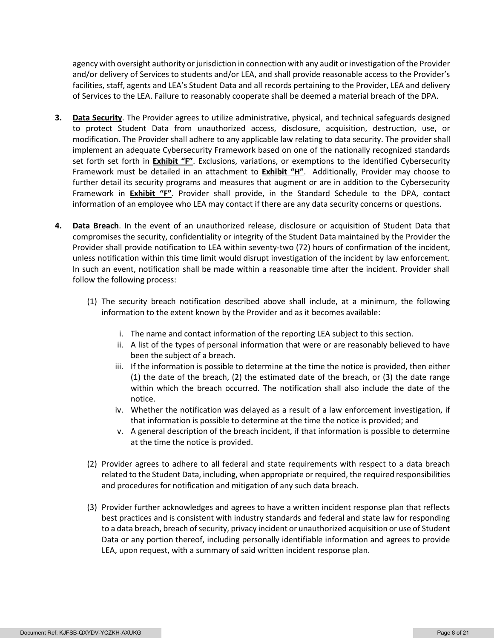agency with oversight authority or jurisdiction in connection with any audit or investigation of the Provider and/or delivery of Services to students and/or LEA, and shall provide reasonable access to the Provider's facilities, staff, agents and LEA's Student Data and all records pertaining to the Provider, LEA and delivery of Services to the LEA. Failure to reasonably cooperate shall be deemed a material breach of the DPA.

- **3. Data Security**. The Provider agrees to utilize administrative, physical, and technical safeguards designed to protect Student Data from unauthorized access, disclosure, acquisition, destruction, use, or modification. The Provider shall adhere to any applicable law relating to data security. The provider shall implement an adequate Cybersecurity Framework based on one of the nationally recognized standards set forth set forth in **Exhibit "F"**. Exclusions, variations, or exemptions to the identified Cybersecurity Framework must be detailed in an attachment to **Exhibit "H"**. Additionally, Provider may choose to further detail its security programs and measures that augment or are in addition to the Cybersecurity Framework in **Exhibit "F"**. Provider shall provide, in the Standard Schedule to the DPA, contact information of an employee who LEA may contact if there are any data security concerns or questions.
- **4. Data Breach**. In the event of an unauthorized release, disclosure or acquisition of Student Data that compromises the security, confidentiality or integrity of the Student Data maintained by the Provider the Provider shall provide notification to LEA within seventy-two (72) hours of confirmation of the incident, unless notification within this time limit would disrupt investigation of the incident by law enforcement. In such an event, notification shall be made within a reasonable time after the incident. Provider shall follow the following process:
	- (1) The security breach notification described above shall include, at a minimum, the following information to the extent known by the Provider and as it becomes available:
		- i. The name and contact information of the reporting LEA subject to this section.
		- ii. A list of the types of personal information that were or are reasonably believed to have been the subject of a breach.
		- iii. If the information is possible to determine at the time the notice is provided, then either (1) the date of the breach, (2) the estimated date of the breach, or (3) the date range within which the breach occurred. The notification shall also include the date of the notice.
		- iv. Whether the notification was delayed as a result of a law enforcement investigation, if that information is possible to determine at the time the notice is provided; and
		- v. A general description of the breach incident, if that information is possible to determine at the time the notice is provided.
	- (2) Provider agrees to adhere to all federal and state requirements with respect to a data breach related to the Student Data, including, when appropriate or required, the required responsibilities and procedures for notification and mitigation of any such data breach.
	- (3) Provider further acknowledges and agrees to have a written incident response plan that reflects best practices and is consistent with industry standards and federal and state law for responding to a data breach, breach of security, privacy incident or unauthorized acquisition or use of Student Data or any portion thereof, including personally identifiable information and agrees to provide LEA, upon request, with a summary of said written incident response plan.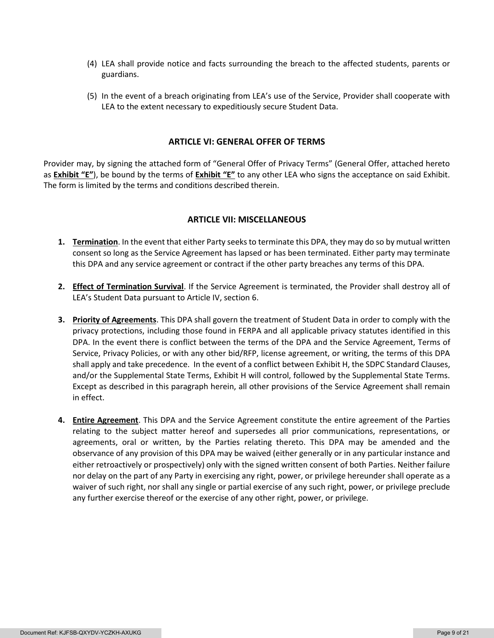- (4) LEA shall provide notice and facts surrounding the breach to the affected students, parents or guardians.
- (5) In the event of a breach originating from LEA's use of the Service, Provider shall cooperate with LEA to the extent necessary to expeditiously secure Student Data.

#### **ARTICLE VI: GENERAL OFFER OF TERMS**

Provider may, by signing the attached form of "General Offer of Privacy Terms" (General Offer, attached hereto as **Exhibit "E"**), be bound by the terms of **Exhibit "E"** to any other LEA who signs the acceptance on said Exhibit. The form is limited by the terms and conditions described therein.

#### **ARTICLE VII: MISCELLANEOUS**

- **1. Termination**. In the event that either Party seeks to terminate this DPA, they may do so by mutual written consent so long as the Service Agreement has lapsed or has been terminated. Either party may terminate this DPA and any service agreement or contract if the other party breaches any terms of this DPA.
- **2. Effect of Termination Survival**. If the Service Agreement is terminated, the Provider shall destroy all of LEA's Student Data pursuant to Article IV, section 6.
- **3. Priority of Agreements**. This DPA shall govern the treatment of Student Data in order to comply with the privacy protections, including those found in FERPA and all applicable privacy statutes identified in this DPA. In the event there is conflict between the terms of the DPA and the Service Agreement, Terms of Service, Privacy Policies, or with any other bid/RFP, license agreement, or writing, the terms of this DPA shall apply and take precedence. In the event of a conflict between Exhibit H, the SDPC Standard Clauses, and/or the Supplemental State Terms, Exhibit H will control, followed by the Supplemental State Terms. Except as described in this paragraph herein, all other provisions of the Service Agreement shall remain in effect.
- **4. Entire Agreement**. This DPA and the Service Agreement constitute the entire agreement of the Parties relating to the subject matter hereof and supersedes all prior communications, representations, or agreements, oral or written, by the Parties relating thereto. This DPA may be amended and the observance of any provision of this DPA may be waived (either generally or in any particular instance and either retroactively or prospectively) only with the signed written consent of both Parties. Neither failure nor delay on the part of any Party in exercising any right, power, or privilege hereunder shall operate as a waiver of such right, nor shall any single or partial exercise of any such right, power, or privilege preclude any further exercise thereof or the exercise of any other right, power, or privilege.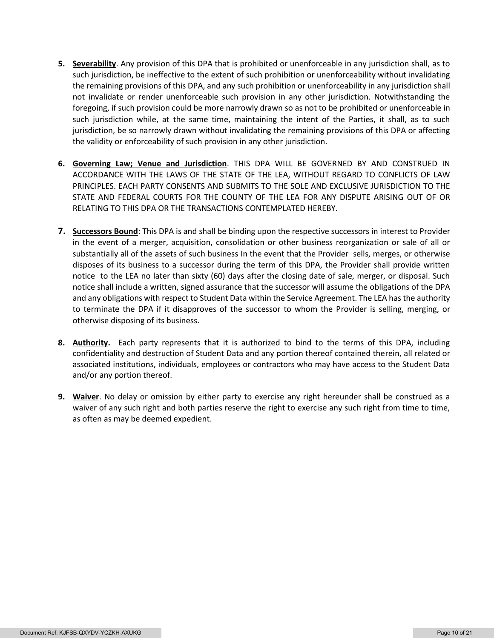- **5. Severability**. Any provision of this DPA that is prohibited or unenforceable in any jurisdiction shall, as to such jurisdiction, be ineffective to the extent of such prohibition or unenforceability without invalidating the remaining provisions of this DPA, and any such prohibition or unenforceability in any jurisdiction shall not invalidate or render unenforceable such provision in any other jurisdiction. Notwithstanding the foregoing, if such provision could be more narrowly drawn so as not to be prohibited or unenforceable in such jurisdiction while, at the same time, maintaining the intent of the Parties, it shall, as to such jurisdiction, be so narrowly drawn without invalidating the remaining provisions of this DPA or affecting the validity or enforceability of such provision in any other jurisdiction.
- **6. Governing Law; Venue and Jurisdiction**. THIS DPA WILL BE GOVERNED BY AND CONSTRUED IN ACCORDANCE WITH THE LAWS OF THE STATE OF THE LEA, WITHOUT REGARD TO CONFLICTS OF LAW PRINCIPLES. EACH PARTY CONSENTS AND SUBMITS TO THE SOLE AND EXCLUSIVE JURISDICTION TO THE STATE AND FEDERAL COURTS FOR THE COUNTY OF THE LEA FOR ANY DISPUTE ARISING OUT OF OR RELATING TO THIS DPA OR THE TRANSACTIONS CONTEMPLATED HEREBY.
- **7. Successors Bound**: This DPA is and shall be binding upon the respective successors in interest to Provider in the event of a merger, acquisition, consolidation or other business reorganization or sale of all or substantially all of the assets of such business In the event that the Provider sells, merges, or otherwise disposes of its business to a successor during the term of this DPA, the Provider shall provide written notice to the LEA no later than sixty (60) days after the closing date of sale, merger, or disposal. Such notice shall include a written, signed assurance that the successor will assume the obligations of the DPA and any obligations with respect to Student Data within the Service Agreement. The LEA has the authority to terminate the DPA if it disapproves of the successor to whom the Provider is selling, merging, or otherwise disposing of its business.
- **8. Authority.** Each party represents that it is authorized to bind to the terms of this DPA, including confidentiality and destruction of Student Data and any portion thereof contained therein, all related or associated institutions, individuals, employees or contractors who may have access to the Student Data and/or any portion thereof.
- **9. Waiver**. No delay or omission by either party to exercise any right hereunder shall be construed as a waiver of any such right and both parties reserve the right to exercise any such right from time to time, as often as may be deemed expedient.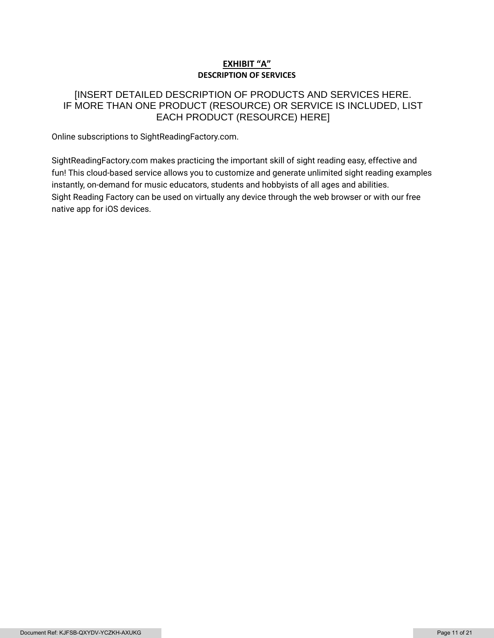## **EXHIBIT "A" DESCRIPTION OF SERVICES**

## [INSERT DETAILED DESCRIPTION OF PRODUCTS AND SERVICES HERE. IF MORE THAN ONE PRODUCT (RESOURCE) OR SERVICE IS INCLUDED, LIST EACH PRODUCT (RESOURCE) HERE]

Online subscriptions to SightReadingFactory.com.

SightReadingFactory.com makes practicing the important skill of sight reading easy, effective and fun! This cloud-based service allows you to customize and generate unlimited sight reading examples instantly, on-demand for music educators, students and hobbyists of all ages and abilities. Sight Reading Factory can be used on virtually any device through the web browser or with our free native app for iOS devices.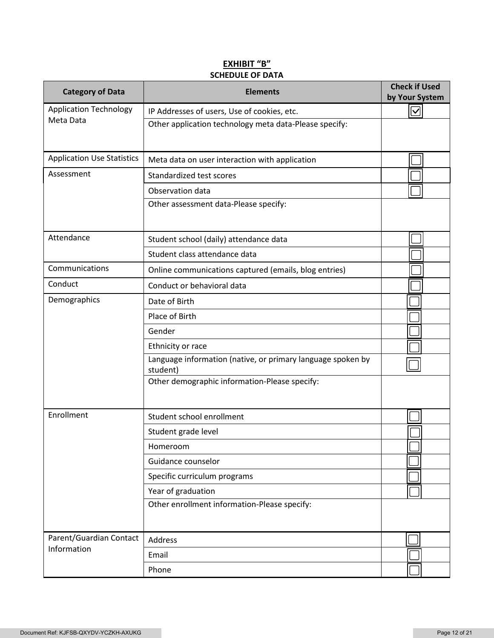## **EXHIBIT "B" SCHEDULE OF DATA**

| <b>Category of Data</b>           | <b>Elements</b>                                                         | <b>Check if Used</b><br>by Your System |
|-----------------------------------|-------------------------------------------------------------------------|----------------------------------------|
| <b>Application Technology</b>     | IP Addresses of users, Use of cookies, etc.                             | $\overline{\vee}$                      |
| Meta Data                         | Other application technology meta data-Please specify:                  |                                        |
| <b>Application Use Statistics</b> | Meta data on user interaction with application                          |                                        |
| Assessment                        | Standardized test scores                                                |                                        |
|                                   | Observation data                                                        |                                        |
|                                   | Other assessment data-Please specify:                                   |                                        |
| Attendance                        | Student school (daily) attendance data                                  |                                        |
|                                   | Student class attendance data                                           |                                        |
| Communications                    | Online communications captured (emails, blog entries)                   |                                        |
| Conduct                           | Conduct or behavioral data                                              |                                        |
| Demographics                      | Date of Birth                                                           |                                        |
|                                   | Place of Birth                                                          |                                        |
|                                   | Gender                                                                  |                                        |
|                                   | Ethnicity or race                                                       |                                        |
|                                   | Language information (native, or primary language spoken by<br>student) |                                        |
|                                   | Other demographic information-Please specify:                           |                                        |
| Enrollment                        | Student school enrollment                                               |                                        |
|                                   | Student grade level                                                     |                                        |
|                                   | Homeroom                                                                |                                        |
|                                   | Guidance counselor                                                      |                                        |
|                                   | Specific curriculum programs                                            |                                        |
|                                   | Year of graduation                                                      |                                        |
|                                   | Other enrollment information-Please specify:                            |                                        |
| Parent/Guardian Contact           | Address                                                                 |                                        |
| Information                       | Email                                                                   |                                        |
|                                   | Phone                                                                   |                                        |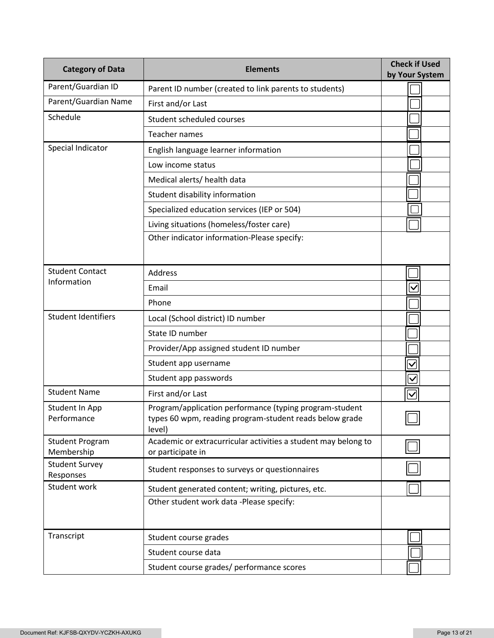| <b>Category of Data</b>              | <b>Elements</b>                                                                                                              | <b>Check if Used</b><br>by Your System |
|--------------------------------------|------------------------------------------------------------------------------------------------------------------------------|----------------------------------------|
| Parent/Guardian ID                   | Parent ID number (created to link parents to students)                                                                       |                                        |
| Parent/Guardian Name                 | First and/or Last                                                                                                            |                                        |
| Schedule                             | Student scheduled courses                                                                                                    |                                        |
|                                      | <b>Teacher names</b>                                                                                                         |                                        |
| Special Indicator                    | English language learner information                                                                                         |                                        |
|                                      | Low income status                                                                                                            |                                        |
|                                      | Medical alerts/ health data                                                                                                  |                                        |
|                                      | Student disability information                                                                                               |                                        |
|                                      | Specialized education services (IEP or 504)                                                                                  |                                        |
|                                      | Living situations (homeless/foster care)                                                                                     |                                        |
|                                      | Other indicator information-Please specify:                                                                                  |                                        |
| <b>Student Contact</b>               | <b>Address</b>                                                                                                               |                                        |
| Information                          | Email                                                                                                                        | $\checkmark$                           |
|                                      | Phone                                                                                                                        |                                        |
| <b>Student Identifiers</b>           | Local (School district) ID number                                                                                            |                                        |
|                                      | State ID number                                                                                                              |                                        |
|                                      | Provider/App assigned student ID number                                                                                      |                                        |
|                                      | Student app username                                                                                                         | $\overline{\checkmark}$                |
|                                      | Student app passwords                                                                                                        | $\overline{\checkmark}$                |
| <b>Student Name</b>                  | First and/or Last                                                                                                            | $\bm{\nabla}$                          |
| Student In App<br>Performance        | Program/application performance (typing program-student<br>types 60 wpm, reading program-student reads below grade<br>level) |                                        |
| <b>Student Program</b><br>Membership | Academic or extracurricular activities a student may belong to<br>or participate in                                          |                                        |
| <b>Student Survey</b><br>Responses   | Student responses to surveys or questionnaires                                                                               |                                        |
| Student work                         | Student generated content; writing, pictures, etc.                                                                           |                                        |
|                                      | Other student work data -Please specify:                                                                                     |                                        |
| Transcript                           | Student course grades                                                                                                        |                                        |
|                                      | Student course data                                                                                                          |                                        |
|                                      | Student course grades/ performance scores                                                                                    |                                        |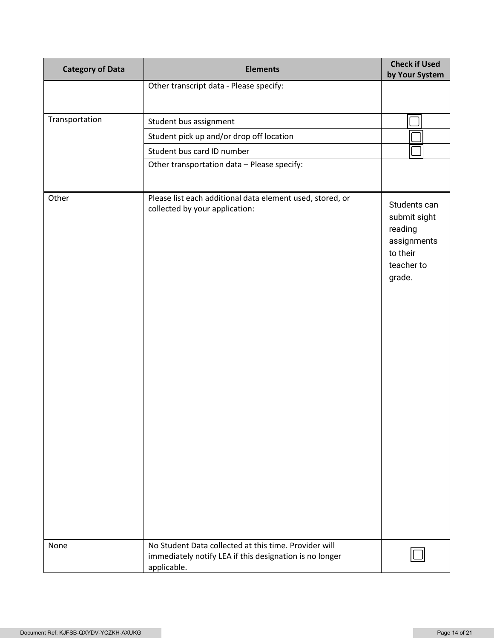| <b>Category of Data</b> | <b>Elements</b>                                                                                                                 | <b>Check if Used</b><br>by Your System                                                     |
|-------------------------|---------------------------------------------------------------------------------------------------------------------------------|--------------------------------------------------------------------------------------------|
|                         | Other transcript data - Please specify:                                                                                         |                                                                                            |
|                         |                                                                                                                                 |                                                                                            |
| Transportation          | Student bus assignment                                                                                                          |                                                                                            |
|                         | Student pick up and/or drop off location                                                                                        |                                                                                            |
|                         | Student bus card ID number                                                                                                      |                                                                                            |
|                         | Other transportation data - Please specify:                                                                                     |                                                                                            |
|                         |                                                                                                                                 |                                                                                            |
| Other                   | Please list each additional data element used, stored, or<br>collected by your application:                                     | Students can<br>submit sight<br>reading<br>assignments<br>to their<br>teacher to<br>grade. |
| None                    | No Student Data collected at this time. Provider will<br>immediately notify LEA if this designation is no longer<br>applicable. |                                                                                            |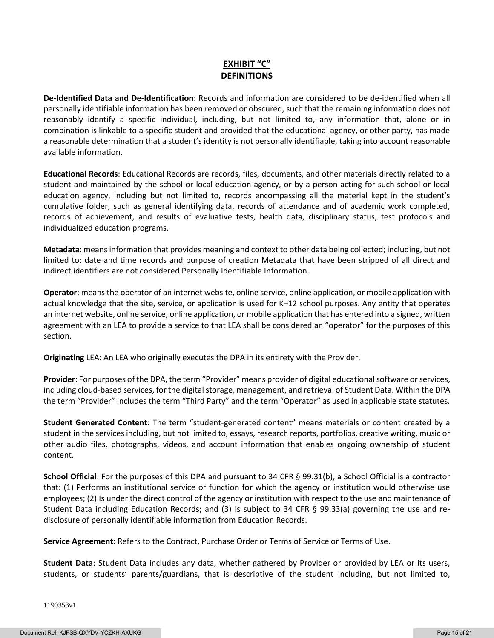## **EXHIBIT "C" DEFINITIONS**

**De-Identified Data and De-Identification**: Records and information are considered to be de-identified when all personally identifiable information has been removed or obscured, such that the remaining information does not reasonably identify a specific individual, including, but not limited to, any information that, alone or in combination is linkable to a specific student and provided that the educational agency, or other party, has made a reasonable determination that a student's identity is not personally identifiable, taking into account reasonable available information.

**Educational Records**: Educational Records are records, files, documents, and other materials directly related to a student and maintained by the school or local education agency, or by a person acting for such school or local education agency, including but not limited to, records encompassing all the material kept in the student's cumulative folder, such as general identifying data, records of attendance and of academic work completed, records of achievement, and results of evaluative tests, health data, disciplinary status, test protocols and individualized education programs.

**Metadata**: means information that provides meaning and context to other data being collected; including, but not limited to: date and time records and purpose of creation Metadata that have been stripped of all direct and indirect identifiers are not considered Personally Identifiable Information.

**Operator**: means the operator of an internet website, online service, online application, or mobile application with actual knowledge that the site, service, or application is used for K–12 school purposes. Any entity that operates an internet website, online service, online application, or mobile application that has entered into a signed, written agreement with an LEA to provide a service to that LEA shall be considered an "operator" for the purposes of this section.

**Originating** LEA: An LEA who originally executes the DPA in its entirety with the Provider.

**Provider**: For purposes of the DPA, the term "Provider" means provider of digital educational software or services, including cloud-based services, for the digital storage, management, and retrieval of Student Data. Within the DPA the term "Provider" includes the term "Third Party" and the term "Operator" as used in applicable state statutes.

**Student Generated Content**: The term "student-generated content" means materials or content created by a student in the services including, but not limited to, essays, research reports, portfolios, creative writing, music or other audio files, photographs, videos, and account information that enables ongoing ownership of student content.

**School Official**: For the purposes of this DPA and pursuant to 34 CFR § 99.31(b), a School Official is a contractor that: (1) Performs an institutional service or function for which the agency or institution would otherwise use employees; (2) Is under the direct control of the agency or institution with respect to the use and maintenance of Student Data including Education Records; and (3) Is subject to 34 CFR § 99.33(a) governing the use and redisclosure of personally identifiable information from Education Records.

**Service Agreement**: Refers to the Contract, Purchase Order or Terms of Service or Terms of Use.

**Student Data**: Student Data includes any data, whether gathered by Provider or provided by LEA or its users, students, or students' parents/guardians, that is descriptive of the student including, but not limited to,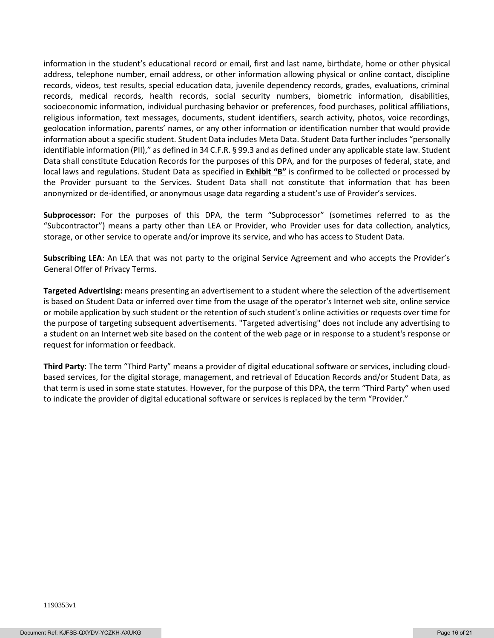information in the student's educational record or email, first and last name, birthdate, home or other physical address, telephone number, email address, or other information allowing physical or online contact, discipline records, videos, test results, special education data, juvenile dependency records, grades, evaluations, criminal records, medical records, health records, social security numbers, biometric information, disabilities, socioeconomic information, individual purchasing behavior or preferences, food purchases, political affiliations, religious information, text messages, documents, student identifiers, search activity, photos, voice recordings, geolocation information, parents' names, or any other information or identification number that would provide information about a specific student. Student Data includes Meta Data. Student Data further includes "personally identifiable information (PII)," as defined in 34 C.F.R. § 99.3 and as defined under any applicable state law. Student Data shall constitute Education Records for the purposes of this DPA, and for the purposes of federal, state, and local laws and regulations. Student Data as specified in **Exhibit "B"** is confirmed to be collected or processed by the Provider pursuant to the Services. Student Data shall not constitute that information that has been anonymized or de-identified, or anonymous usage data regarding a student's use of Provider's services.

**Subprocessor:** For the purposes of this DPA, the term "Subprocessor" (sometimes referred to as the "Subcontractor") means a party other than LEA or Provider, who Provider uses for data collection, analytics, storage, or other service to operate and/or improve its service, and who has access to Student Data.

**Subscribing LEA**: An LEA that was not party to the original Service Agreement and who accepts the Provider's General Offer of Privacy Terms.

**Targeted Advertising:** means presenting an advertisement to a student where the selection of the advertisement is based on Student Data or inferred over time from the usage of the operator's Internet web site, online service or mobile application by such student or the retention of such student's online activities or requests over time for the purpose of targeting subsequent advertisements. "Targeted advertising" does not include any advertising to a student on an Internet web site based on the content of the web page or in response to a student's response or request for information or feedback.

**Third Party**: The term "Third Party" means a provider of digital educational software or services, including cloudbased services, for the digital storage, management, and retrieval of Education Records and/or Student Data, as that term is used in some state statutes. However, for the purpose of this DPA, the term "Third Party" when used to indicate the provider of digital educational software or services is replaced by the term "Provider."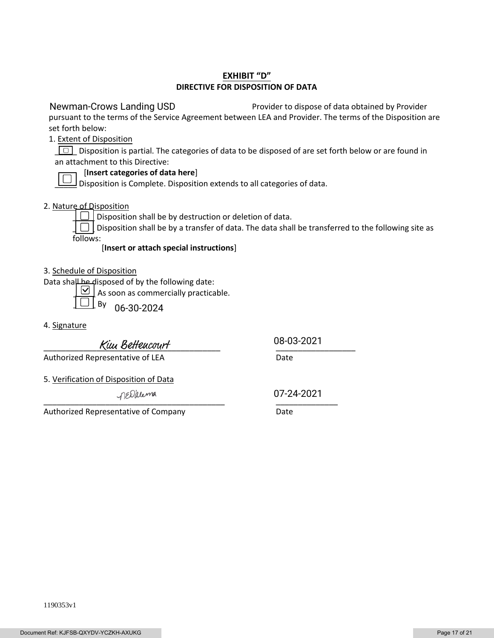### **EXHIBIT "D" DIRECTIVE FOR DISPOSITION OF DATA**

 Provider to dispose of data obtained by Provider pursuant to the terms of the Service Agreement between LEA and Provider. The terms of the Disposition are set forth below: Newman-Crows Landing USD

1. Extent of Disposition

 $\boxed{\Box}$  Disposition is partial. The categories of data to be disposed of are set forth below or are found in an attachment to this Directive:

## [**Insert categories of data here**]

 $\Box$  Disposition is Complete. Disposition extends to all categories of data.

### 2. Nature of Disposition

 $\boxed{\boxed{\Box}}$  Disposition shall be by destruction or deletion of data.

 $\Box$  Disposition shall be by a transfer of data. The data shall be transferred to the following site as follows:

### [**Insert or attach special instructions**]

3. Schedule of Disposition

Data shall be disposed of by the following date:

 $\boxed{\bigcirc}$  As soon as commercially practicable.

\_\_\_\_\_ By 06-30-2024

4. Signature

Kiuu Betteucourt

08-03-2021

Authorized Representative of LEA Date

5. Verification of Disposition of Data

Authorized Representative of Company **Date** 

\_\_\_\_\_\_\_\_\_\_\_\_\_\_\_\_\_\_\_\_\_\_\_\_\_\_\_\_\_\_\_\_\_\_\_\_\_\_\_\_\_ \_\_\_\_\_\_\_\_\_\_\_\_\_\_ 07-24-2021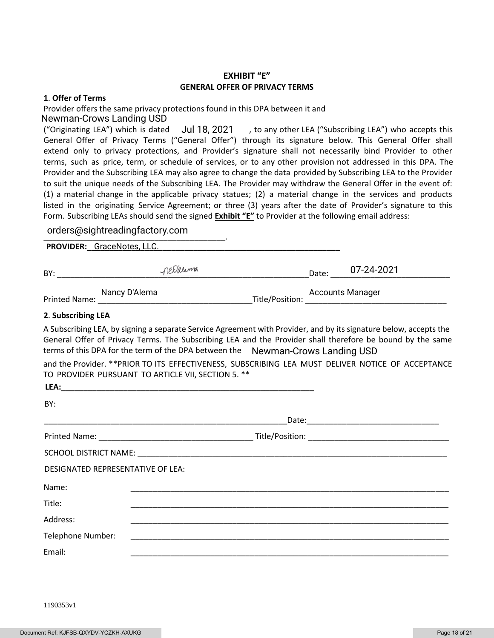### **EXHIBIT "E" GENERAL OFFER OF PRIVACY TERMS**

#### **1**. **Offer of Terms**

Provider offers the same privacy protections found in this DPA between it and Newman-Crows Landing USD

("Originating LEA") which is dated  $\overline{J}$ UI 18, 2021  $\overline{J}$ , to any other LEA ("Subscribing LEA") who accepts this General Offer of Privacy Terms ("General Offer") through its signature below. This General Offer shall extend only to privacy protections, and Provider's signature shall not necessarily bind Provider to other terms, such as price, term, or schedule of services, or to any other provision not addressed in this DPA. The Provider and the Subscribing LEA may also agree to change the data provided by Subscribing LEA to the Provider to suit the unique needs of the Subscribing LEA. The Provider may withdraw the General Offer in the event of: (1) a material change in the applicable privacy statues; (2) a material change in the services and products listed in the originating Service Agreement; or three (3) years after the date of Provider's signature to this Form. Subscribing LEAs should send the signed **Exhibit "E"** to Provider at the following email address: Jul 18, 2021

# \_\_\_\_\_\_\_\_\_\_\_\_\_\_\_\_\_\_\_\_\_\_\_\_\_\_\_\_\_\_\_\_\_\_\_\_\_\_\_\_\_. orders@sightreadingfactory.com

**PROVIDER:\_\_\_\_\_\_\_\_\_\_\_\_\_\_\_\_\_\_\_\_\_\_\_\_\_\_\_\_\_\_\_\_\_\_\_\_\_\_\_\_\_\_\_\_\_\_\_\_\_\_\_\_\_\_\_\_\_** GraceNotes, LLC.

|                    | NEDalema                                                                                                                                                                                                                                                                                                          |  | Date: 07-24-2021 |
|--------------------|-------------------------------------------------------------------------------------------------------------------------------------------------------------------------------------------------------------------------------------------------------------------------------------------------------------------|--|------------------|
|                    | Nancy D'Alema Manus (Accounts Manager Accounts Manager Accounts Manager Accounts Manager Accounts (Manager Accounts Manager Accounts Manager Accounts Manager Accounts Manager Accounts Manager Accounts Manager Accounts Mana                                                                                    |  |                  |
| 2. Subscribing LEA |                                                                                                                                                                                                                                                                                                                   |  |                  |
|                    | A Subscribing LEA, by signing a separate Service Agreement with Provider, and by its signature below, accepts the<br>General Offer of Privacy Terms. The Subscribing LEA and the Provider shall therefore be bound by the same<br>terms of this DPA for the term of the DPA between the  Newman-Crows Landing USD |  |                  |
|                    | and the Provider. ** PRIOR TO ITS EFFECTIVENESS, SUBSCRIBING LEA MUST DELIVER NOTICE OF ACCEPTANCE<br>TO PROVIDER PURSUANT TO ARTICLE VII, SECTION 5. **                                                                                                                                                          |  |                  |
| BY:                |                                                                                                                                                                                                                                                                                                                   |  |                  |
|                    |                                                                                                                                                                                                                                                                                                                   |  |                  |
|                    |                                                                                                                                                                                                                                                                                                                   |  |                  |
|                    |                                                                                                                                                                                                                                                                                                                   |  |                  |
|                    | DESIGNATED REPRESENTATIVE OF LEA:                                                                                                                                                                                                                                                                                 |  |                  |
| Name:              | <u> 1989 - Johann Stoff, amerikansk politiker (d. 1989)</u>                                                                                                                                                                                                                                                       |  |                  |
| Title:             |                                                                                                                                                                                                                                                                                                                   |  |                  |
| Address:           | <u> 1989 - Johann John Stoff, deutscher Stoffen und der Stoffen und der Stoffen und der Stoffen und der Stoffen</u>                                                                                                                                                                                               |  |                  |
| Telephone Number:  |                                                                                                                                                                                                                                                                                                                   |  |                  |
| Email:             |                                                                                                                                                                                                                                                                                                                   |  |                  |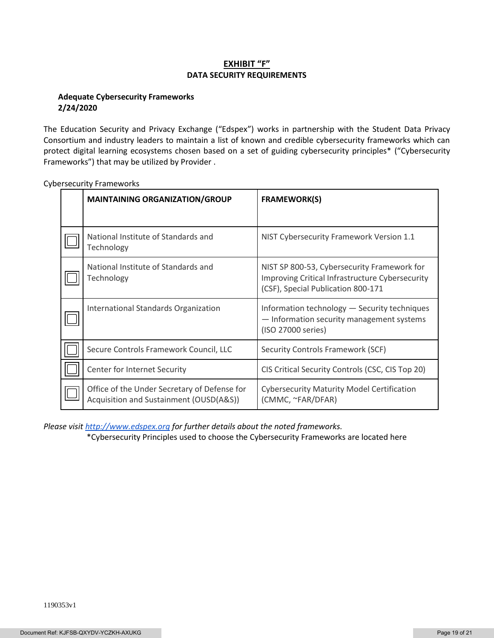## **EXHIBIT "F" DATA SECURITY REQUIREMENTS**

#### **Adequate Cybersecurity Frameworks 2/24/2020**

The Education Security and Privacy Exchange ("Edspex") works in partnership with the Student Data Privacy Consortium and industry leaders to maintain a list of known and credible cybersecurity frameworks which can protect digital learning ecosystems chosen based on a set of guiding cybersecurity principles\* ("Cybersecurity Frameworks") that may be utilized by Provider .

| <b>MAINTAINING ORGANIZATION/GROUP</b>                                                   | <b>FRAMEWORK(S)</b>                                                                                                                  |
|-----------------------------------------------------------------------------------------|--------------------------------------------------------------------------------------------------------------------------------------|
|                                                                                         |                                                                                                                                      |
| National Institute of Standards and<br>Technology                                       | NIST Cybersecurity Framework Version 1.1                                                                                             |
| National Institute of Standards and<br>Technology                                       | NIST SP 800-53, Cybersecurity Framework for<br>Improving Critical Infrastructure Cybersecurity<br>(CSF), Special Publication 800-171 |
| International Standards Organization                                                    | Information technology - Security techniques<br>- Information security management systems<br>(ISO 27000 series)                      |
| Secure Controls Framework Council, LLC                                                  | Security Controls Framework (SCF)                                                                                                    |
| Center for Internet Security                                                            | CIS Critical Security Controls (CSC, CIS Top 20)                                                                                     |
| Office of the Under Secretary of Defense for<br>Acquisition and Sustainment (OUSD(A&S)) | <b>Cybersecurity Maturity Model Certification</b><br>(CMMC, ~FAR/DFAR)                                                               |

Cybersecurity Frameworks

*Please visi[t http://www.edspex.org](http://www.edspex.org/) for further details about the noted frameworks.*

\*Cybersecurity Principles used to choose the Cybersecurity Frameworks are located here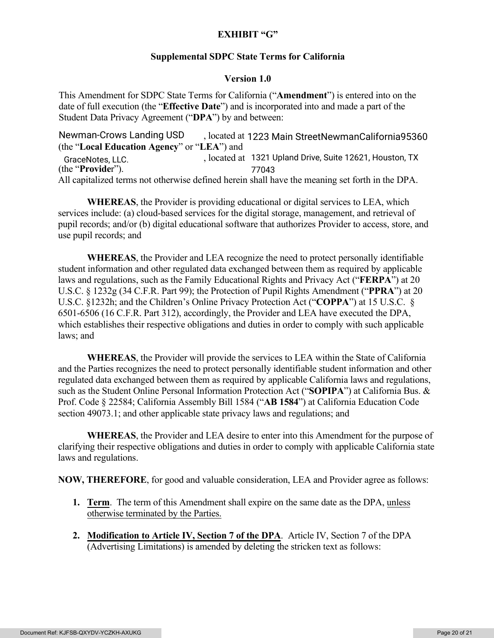## **EXHIBIT "G"**

## **Supplemental SDPC State Terms for California**

## **Version 1.0**

This Amendment for SDPC State Terms for California ("**Amendment**") is entered into on the date of full execution (the "**Effective Date**") and is incorporated into and made a part of the Student Data Privacy Agreement ("**DPA**") by and between:

Newman-Crows Landing USD , located at 1223 Main StreetNewmanCalifornia95360 (the "**Local Education Agency**" or "**LEA**") and , located at GraceNotes, LLC. 1321 Upland Drive, Suite 12621, Houston, TX (the "**Provide**r"). All capitalized terms not otherwise defined herein shall have the meaning set forth in the DPA. 77043

**WHEREAS**, the Provider is providing educational or digital services to LEA, which services include: (a) cloud-based services for the digital storage, management, and retrieval of pupil records; and/or (b) digital educational software that authorizes Provider to access, store, and use pupil records; and

**WHEREAS**, the Provider and LEA recognize the need to protect personally identifiable student information and other regulated data exchanged between them as required by applicable laws and regulations, such as the Family Educational Rights and Privacy Act ("**FERPA**") at 20 U.S.C. § 1232g (34 C.F.R. Part 99); the Protection of Pupil Rights Amendment ("**PPRA**") at 20 U.S.C. §1232h; and the Children's Online Privacy Protection Act ("**COPPA**") at 15 U.S.C. § 6501-6506 (16 C.F.R. Part 312), accordingly, the Provider and LEA have executed the DPA, which establishes their respective obligations and duties in order to comply with such applicable laws; and

**WHEREAS**, the Provider will provide the services to LEA within the State of California and the Parties recognizes the need to protect personally identifiable student information and other regulated data exchanged between them as required by applicable California laws and regulations, such as the Student Online Personal Information Protection Act ("**SOPIPA**") at California Bus. & Prof. Code § 22584; California Assembly Bill 1584 ("**AB 1584**") at California Education Code section 49073.1; and other applicable state privacy laws and regulations; and

**WHEREAS**, the Provider and LEA desire to enter into this Amendment for the purpose of clarifying their respective obligations and duties in order to comply with applicable California state laws and regulations.

**NOW, THEREFORE**, for good and valuable consideration, LEA and Provider agree as follows:

- **1. Term**. The term of this Amendment shall expire on the same date as the DPA, unless otherwise terminated by the Parties.
- **2. Modification to Article IV, Section 7 of the DPA**. Article IV, Section 7 of the DPA (Advertising Limitations) is amended by deleting the stricken text as follows: